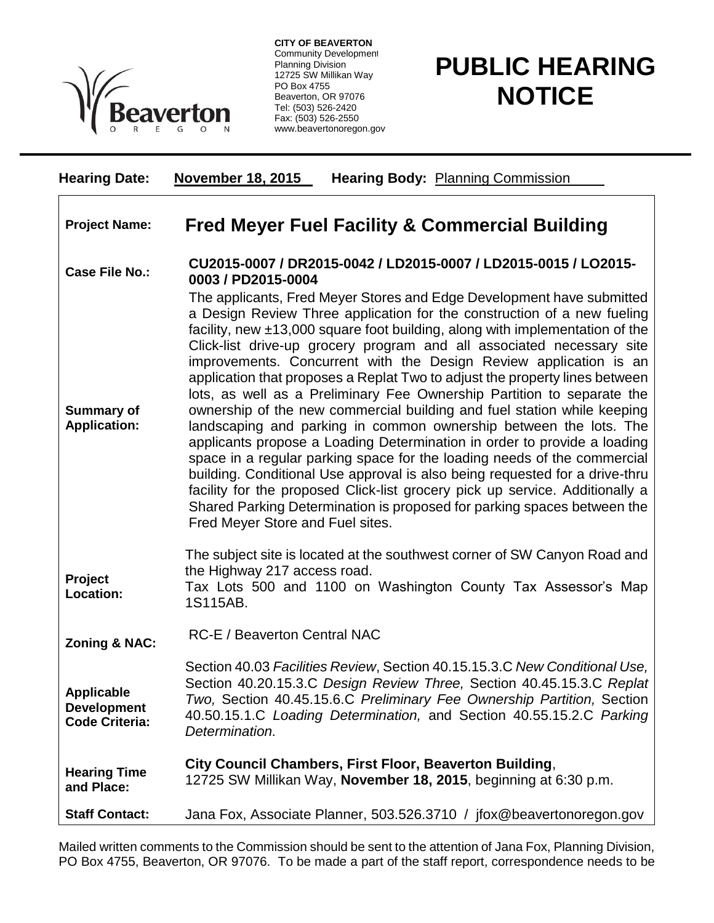

**CITY OF BEAVERTON** Community Development Planning Division 12725 SW Millikan Way PO Box 4755 Beaverton, OR 97076 Tel: (503) 526-2420 Fax: (503) 526-2550 www.beavertonoregon.gov

## **PUBLIC HEARING NOTICE**

| <b>Hearing Date:</b>                                             | <b>November 18, 2015</b><br><b>Hearing Body: Planning Commission</b>                                                                                                                                                                                                                                                                                                                                                                                                                                                                                                                                                                                                                                                                                                                                                                                                                                                                                                                                                                                                                                                               |
|------------------------------------------------------------------|------------------------------------------------------------------------------------------------------------------------------------------------------------------------------------------------------------------------------------------------------------------------------------------------------------------------------------------------------------------------------------------------------------------------------------------------------------------------------------------------------------------------------------------------------------------------------------------------------------------------------------------------------------------------------------------------------------------------------------------------------------------------------------------------------------------------------------------------------------------------------------------------------------------------------------------------------------------------------------------------------------------------------------------------------------------------------------------------------------------------------------|
| <b>Project Name:</b>                                             | <b>Fred Meyer Fuel Facility &amp; Commercial Building</b>                                                                                                                                                                                                                                                                                                                                                                                                                                                                                                                                                                                                                                                                                                                                                                                                                                                                                                                                                                                                                                                                          |
| <b>Case File No.:</b>                                            | CU2015-0007 / DR2015-0042 / LD2015-0007 / LD2015-0015 / LO2015-<br>0003 / PD2015-0004                                                                                                                                                                                                                                                                                                                                                                                                                                                                                                                                                                                                                                                                                                                                                                                                                                                                                                                                                                                                                                              |
| <b>Summary of</b><br><b>Application:</b>                         | The applicants, Fred Meyer Stores and Edge Development have submitted<br>a Design Review Three application for the construction of a new fueling<br>facility, new $\pm$ 13,000 square foot building, along with implementation of the<br>Click-list drive-up grocery program and all associated necessary site<br>improvements. Concurrent with the Design Review application is an<br>application that proposes a Replat Two to adjust the property lines between<br>lots, as well as a Preliminary Fee Ownership Partition to separate the<br>ownership of the new commercial building and fuel station while keeping<br>landscaping and parking in common ownership between the lots. The<br>applicants propose a Loading Determination in order to provide a loading<br>space in a regular parking space for the loading needs of the commercial<br>building. Conditional Use approval is also being requested for a drive-thru<br>facility for the proposed Click-list grocery pick up service. Additionally a<br>Shared Parking Determination is proposed for parking spaces between the<br>Fred Meyer Store and Fuel sites. |
| Project<br>Location:                                             | The subject site is located at the southwest corner of SW Canyon Road and<br>the Highway 217 access road.<br>Tax Lots 500 and 1100 on Washington County Tax Assessor's Map<br>1S115AB.                                                                                                                                                                                                                                                                                                                                                                                                                                                                                                                                                                                                                                                                                                                                                                                                                                                                                                                                             |
| <b>Zoning &amp; NAC:</b>                                         | RC-E / Beaverton Central NAC                                                                                                                                                                                                                                                                                                                                                                                                                                                                                                                                                                                                                                                                                                                                                                                                                                                                                                                                                                                                                                                                                                       |
| <b>Applicable</b><br><b>Development</b><br><b>Code Criteria:</b> | Section 40.03 Facilities Review, Section 40.15.15.3.C New Conditional Use,<br>Section 40.20.15.3.C Design Review Three, Section 40.45.15.3.C Replat<br>Two, Section 40.45.15.6.C Preliminary Fee Ownership Partition, Section<br>40.50.15.1.C Loading Determination, and Section 40.55.15.2.C Parking<br>Determination.                                                                                                                                                                                                                                                                                                                                                                                                                                                                                                                                                                                                                                                                                                                                                                                                            |
| <b>Hearing Time</b><br>and Place:                                | City Council Chambers, First Floor, Beaverton Building,<br>12725 SW Millikan Way, November 18, 2015, beginning at 6:30 p.m.                                                                                                                                                                                                                                                                                                                                                                                                                                                                                                                                                                                                                                                                                                                                                                                                                                                                                                                                                                                                        |
| <b>Staff Contact:</b>                                            | Jana Fox, Associate Planner, 503.526.3710 / jfox@beavertonoregon.gov                                                                                                                                                                                                                                                                                                                                                                                                                                                                                                                                                                                                                                                                                                                                                                                                                                                                                                                                                                                                                                                               |

Mailed written comments to the Commission should be sent to the attention of Jana Fox, Planning Division, PO Box 4755, Beaverton, OR 97076. To be made a part of the staff report, correspondence needs to be